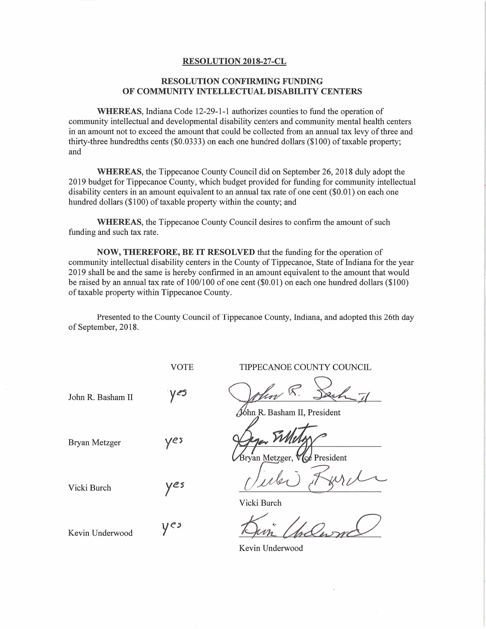## RESOLUTION 2018—27-CL

## RESOLUTION CONFIRMING FUNDING OF COMMUNITY INTELLECTUAL DISABILITY CENTERS

WHEREAS, Indiana Code 12-29—1-1 authorizes counties to fund the operation of community intellectual and developmental disability centers and community mental health centers **in an amount not to exceed the amount that could be collected from an annual tax levy of three and amount not to exceed the amount that could be collected from an annual tax levy of three and and developmental that could** WHEREAS, Indiana Code 12-29-1-1 authorizes counties to fund the operation of<br>community intellectual and developmental disability centers and community mental health cent<br>in an amount not to exceed the amount that could be con<br>in a<br>thir<br>and thirty-three hundredths cents (\$0.0333) on each one hundred dollars (\$100) of taxable property;<br>and<br>WHEREAS, the Tippecanoe County Council did on September 26, 2018 duly adopt the

2019 **WHEREAS**, the Tippecanoe County Council did on September 26, 2018 duly adopt the<br>2019 budget for Tippecanoe County, which budget provided for funding for community intellectual **WHEREAS**, the Tippecanoe County Council did on September 26, 2018 duly adopt the 2019 budget for Tippecanoe County, which budget provided for funding for community intelled is ability centers in an amount equivalent to an WHEREAS, the Tippecanoe County Council did on September 26, 2018 duly adoprable 2019 budget for Tippecanoe County, which budget provided for funding for community inte disability centers in an amount equivalent to an annua

hundred dollars (\$100) of taxable property within the county; and<br>WHEREAS, the Tippecanoe County Council desires to c<br>funding and such tax rate. WHEREAS, the Tippecanoe County Council desires to confirm the amount of such and such tax rate.<br>NOW, THEREFORE, BE IT RESOLVED that the funding for the operation of

community intellectual disability centers in the County of Tippecanoe, State of Indiana for the year **2019 Shall be and the same is hereby confirmed in an amount equivalent to the amount that would**<br>2019 shall be and the same is hereby confirmed in an amount equivalent to the amount that would **NOW, THEREFORE, BE IT RESOLVED** that the funding for the operation of community intellectual disability centers in the County of Tippecanoe, State of Indiana for the year 2019 shall be and the same is hereby confirmed in community intellectual disability centers in the<br>2019 shall be and the same is hereby confirmed<br>be raised by an annual tax rate of 100/100 of o<br>of taxable property within Tippecanoe County. be raised by an annual tax rate of 100/100 of one cent (\$0.01) on each one hundred dollars (\$100) of taxable property within Tippecanoe County.<br>Presented to the County Council of Tippecanoe County, Indiana, and adopted thi

of September, 2018.

 $y e<sub>3</sub>$ 

VOTE TIPPECANOE COUNTY COUNCIL

VOTE TIPPECANOE COUNTY COUNCIL<br>John R. Basham II Ves Velow R. Sech

Jóhn R. Basham II, President

John R. Basham II, Presi<br>Bryan Metzger yes Sylver Timbra Super *Willager*<br>ryan Metzger, VGe President

Man M. Dech 71 Vicki Burch yes<br>Vicki Burch yes Vicki Burch

Kevin Underwood

Kevin Underwood